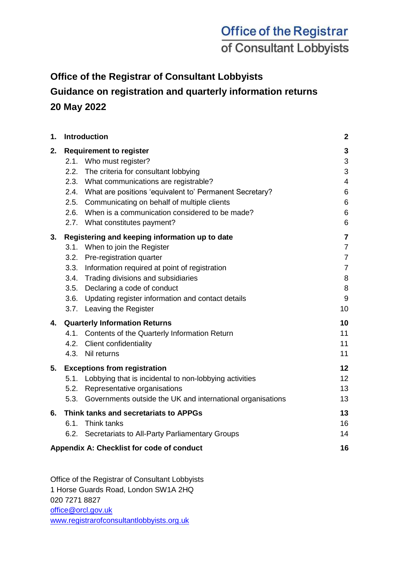## **Office of the Registrar of Consultant Lobbyists**

### **Guidance on registration and quarterly information returns 20 May 2022**

| 1. | Introduction                                                                                                                                                                                                                                                                                                                                                        | $\mathbf{2}$                                                                                       |
|----|---------------------------------------------------------------------------------------------------------------------------------------------------------------------------------------------------------------------------------------------------------------------------------------------------------------------------------------------------------------------|----------------------------------------------------------------------------------------------------|
| 2. | <b>Requirement to register</b><br>2.1. Who must register?<br>The criteria for consultant lobbying<br>2.2.<br>2.3. What communications are registrable?<br>2.4. What are positions 'equivalent to' Permanent Secretary?<br>2.5. Communicating on behalf of multiple clients<br>2.6. When is a communication considered to be made?<br>2.7. What constitutes payment? | 3<br>3<br>3<br>4<br>6<br>6<br>6<br>6                                                               |
| 3. | Registering and keeping information up to date<br>3.1. When to join the Register<br>3.2. Pre-registration quarter<br>3.3. Information required at point of registration<br>3.4. Trading divisions and subsidiaries<br>3.5. Declaring a code of conduct<br>3.6. Updating register information and contact details<br>3.7. Leaving the Register                       | $\overline{\mathbf{7}}$<br>$\overline{7}$<br>$\overline{7}$<br>$\overline{7}$<br>8<br>8<br>9<br>10 |
| 4. | <b>Quarterly Information Returns</b><br>4.1. Contents of the Quarterly Information Return<br>4.2. Client confidentiality<br>4.3. Nil returns                                                                                                                                                                                                                        | 10<br>11<br>11<br>11                                                                               |
| 5. | <b>Exceptions from registration</b><br>5.1. Lobbying that is incidental to non-lobbying activities<br>5.2. Representative organisations<br>Governments outside the UK and international organisations<br>5.3.                                                                                                                                                       | 12<br>12 <sub>2</sub><br>13<br>13                                                                  |
| 6. | Think tanks and secretariats to APPGs<br>6.1.<br>Think tanks<br>6.2. Secretariats to All-Party Parliamentary Groups<br>Appendix A: Checklist for code of conduct                                                                                                                                                                                                    | 13<br>16<br>14<br>16                                                                               |
|    |                                                                                                                                                                                                                                                                                                                                                                     |                                                                                                    |

Office of the Registrar of Consultant Lobbyists 1 Horse Guards Road, London SW1A 2HQ 020 7271 8827 [office@orcl.gov.uk](mailto:office@orcl.gov.uk) [www.registrarofconsultantlobbyists.org.uk](http://www.registrarofconsultantlobbyists.org.uk/)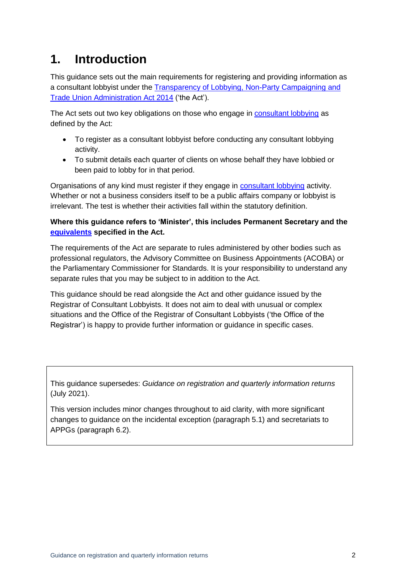## **1. Introduction**

This guidance sets out the main requirements for registering and providing information as a consultant lobbyist under the [Transparency of Lobbying, Non-Party Campaigning and](http://www.legislation.gov.uk/ukpga/2014/4/contents)  [Trade Union Administration Act 2014](http://www.legislation.gov.uk/ukpga/2014/4/contents) ('the Act').

The Act sets out two key obligations on those who engage in [consultant lobbying](#page-2-0) as defined by the Act:

- To register as a consultant lobbyist before conducting any consultant lobbying activity.
- To submit details each quarter of clients on whose behalf they have lobbied or been paid to lobby for in that period.

Organisations of any kind must register if they engage in [consultant lobbying](#page-2-0) activity. Whether or not a business considers itself to be a public affairs company or lobbyist is irrelevant. The test is whether their activities fall within the statutory definition.

#### **Where this guidance refers to 'Minister', this includes Permanent Secretary and the [equivalents](#page-5-0) specified in the Act.**

The requirements of the Act are separate to rules administered by other bodies such as professional regulators, the Advisory Committee on Business Appointments (ACOBA) or the Parliamentary Commissioner for Standards. It is your responsibility to understand any separate rules that you may be subject to in addition to the Act.

This guidance should be read alongside the Act and other guidance issued by the Registrar of Consultant Lobbyists. It does not aim to deal with unusual or complex situations and the Office of the Registrar of Consultant Lobbyists ('the Office of the Registrar') is happy to provide further information or guidance in specific cases.

This guidance supersedes: *Guidance on registration and quarterly information returns* (July 2021).

This version includes minor changes throughout to aid clarity, with more significant changes to guidance on the incidental exception (paragraph 5.1) and secretariats to APPGs (paragraph 6.2).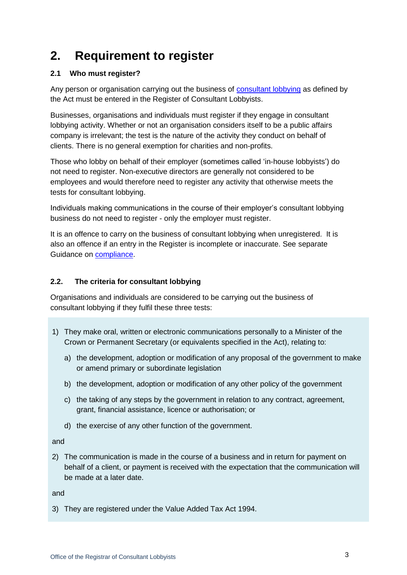# <span id="page-2-0"></span>**2. Requirement to register**

#### <span id="page-2-1"></span>**2.1 Who must register?**

Any person or organisation carrying out the business of [consultant lobbying](#page-2-0) as defined by the Act must be entered in the Register of Consultant Lobbyists.

Businesses, organisations and individuals must register if they engage in consultant lobbying activity. Whether or not an organisation considers itself to be a public affairs company is irrelevant; the test is the nature of the activity they conduct on behalf of clients. There is no general exemption for charities and non-profits.

Those who lobby on behalf of their employer (sometimes called 'in-house lobbyists') do not need to register. Non-executive directors are generally not considered to be employees and would therefore need to register any activity that otherwise meets the tests for consultant lobbying.

Individuals making communications in the course of their employer's consultant lobbying business do not need to register - only the employer must register.

It is an offence to carry on the business of consultant lobbying when unregistered. It is also an offence if an entry in the Register is incomplete or inaccurate. See separate Guidance on [compliance.](https://registrarofconsultantlobbyists.org.uk/guidance/compliance-with-the-act/)

#### **2.2. The criteria for consultant lobbying**

Organisations and individuals are considered to be carrying out the business of consultant lobbying if they fulfil these three tests:

- 1) They make oral, written or electronic communications personally to a Minister of the Crown or Permanent Secretary (or equivalents specified in the Act), relating to:
	- a) the development, adoption or modification of any proposal of the government to make or amend primary or subordinate legislation
	- b) the development, adoption or modification of any other policy of the government
	- c) the taking of any steps by the government in relation to any contract, agreement, grant, financial assistance, licence or authorisation; or
	- d) the exercise of any other function of the government.

and

2) The communication is made in the course of a business and in return for payment on behalf of a client, or payment is received with the expectation that the communication will be made at a later date.

and

3) They are registered under the Value Added Tax Act 1994.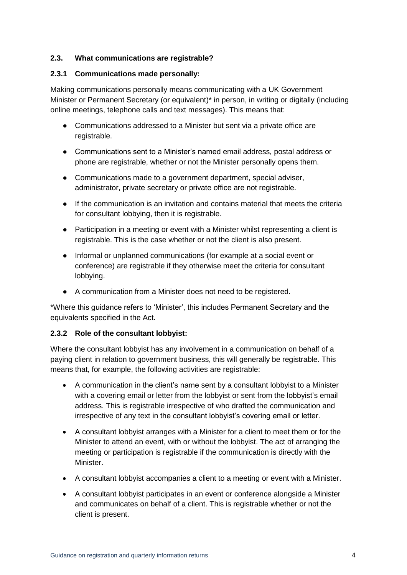#### **2.3. What communications are registrable?**

#### **2.3.1 Communications made personally:**

Making communications personally means communicating with a UK Government Minister or Permanent Secretary (or equivalent)\* in person, in writing or digitally (including online meetings, telephone calls and text messages). This means that:

- Communications addressed to a Minister but sent via a private office are registrable.
- Communications sent to a Minister's named email address, postal address or phone are registrable, whether or not the Minister personally opens them.
- Communications made to a government department, special adviser, administrator, private secretary or private office are not registrable.
- If the communication is an invitation and contains material that meets the criteria for consultant lobbying, then it is registrable.
- Participation in a meeting or event with a Minister whilst representing a client is registrable. This is the case whether or not the client is also present.
- Informal or unplanned communications (for example at a social event or conference) are registrable if they otherwise meet the criteria for consultant lobbying.
- A communication from a Minister does not need to be registered.

\*Where this guidance refers to 'Minister', this includes Permanent Secretary and the equivalents specified in the Act.

#### **2.3.2 Role of the consultant lobbyist:**

Where the consultant lobbyist has any involvement in a communication on behalf of a paying client in relation to government business, this will generally be registrable. This means that, for example, the following activities are registrable:

- A communication in the client's name sent by a consultant lobbyist to a Minister with a covering email or letter from the lobbyist or sent from the lobbyist's email address. This is registrable irrespective of who drafted the communication and irrespective of any text in the consultant lobbyist's covering email or letter.
- A consultant lobbyist arranges with a Minister for a client to meet them or for the Minister to attend an event, with or without the lobbyist. The act of arranging the meeting or participation is registrable if the communication is directly with the Minister.
- A consultant lobbyist accompanies a client to a meeting or event with a Minister.
- A consultant lobbyist participates in an event or conference alongside a Minister and communicates on behalf of a client. This is registrable whether or not the client is present.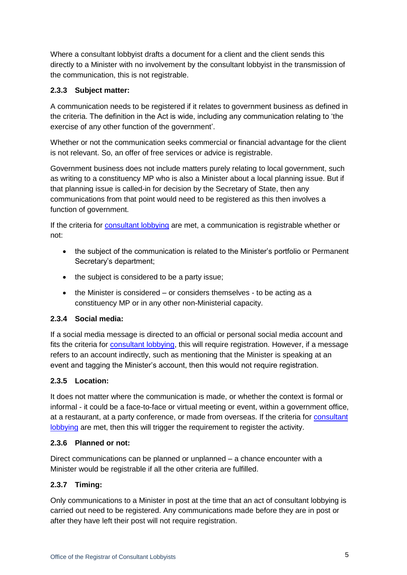Where a consultant lobbyist drafts a document for a client and the client sends this directly to a Minister with no involvement by the consultant lobbyist in the transmission of the communication, this is not registrable.

#### **2.3.3 Subject matter:**

A communication needs to be registered if it relates to government business as defined in the criteria. The definition in the Act is wide, including any communication relating to 'the exercise of any other function of the government'.

Whether or not the communication seeks commercial or financial advantage for the client is not relevant. So, an offer of free services or advice is registrable.

Government business does not include matters purely relating to local government, such as writing to a constituency MP who is also a Minister about a local planning issue. But if that planning issue is called-in for decision by the Secretary of State, then any communications from that point would need to be registered as this then involves a function of government.

If t[he c](#page-2-1)riteria for [consultant lobbying](#page-2-0) are met, a communication is registrable whether or not:

- the subject of the communication is related to the Minister's portfolio or Permanent Secretary's department;
- the subject is considered to be a party issue;
- the Minister is considered or considers themselves to be acting as a constituency MP or in any other non-Ministerial capacity.

#### **2.3.4 Social media:**

If a social media message is directed to an official or personal social media account and fits the criteria for [consultant lobbying,](#page-2-0) this will require registration. However, if a message refers to an account indirectly, such as mentioning that the Minister is speaking at an event and tagging the Minister's account, then this would not require registration.

#### **2.3.5 Location:**

It does not matter where the communication is made, or whether the context is formal or informal - it could be a face-to-face or virtual meeting or event, within a government office, at a restaurant, at a party conference, or made from overseas. If the criteria for [consultant](#page-2-0)  [lobbying](#page-2-0) are met, then this will trigger the requirement to register the activity.

#### **2.3.6 Planned or not:**

Direct communications can be planned or unplanned – a chance encounter with a Minister would be registrable if all the other criteria are fulfilled.

#### **2.3.7 Timing:**

Only communications to a Minister in post at the time that an act of consultant lobbying is carried out need to be registered. Any communications made before they are in post or after they have left their post will not require registration.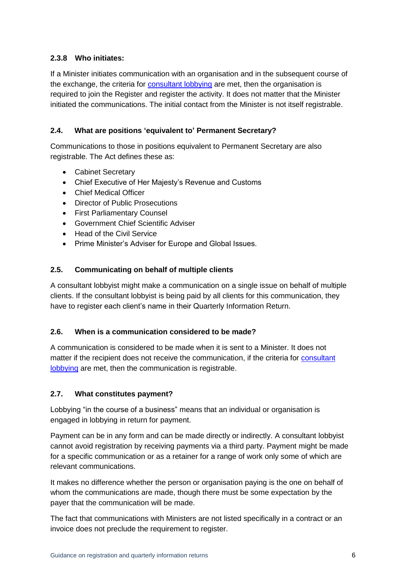#### **2.3.8 Who initiates:**

If a Minister initiates communication with an organisation and in the subsequent course of the exchange, t[he c](#page-2-1)riteria for [consultant lobbying](#page-2-0) [a](#page-2-0)re met, then the organisation is required to join the Register and register the activity. It does not matter that the Minister initiated the communications. The initial contact from the Minister is not itself registrable.

#### <span id="page-5-0"></span>**2.4. What are positions 'equivalent to' Permanent Secretary?**

Communications to those in positions equivalent to Permanent Secretary are also registrable. The Act defines these as:

- Cabinet Secretary
- Chief Executive of Her Majesty's Revenue and Customs
- Chief Medical Officer
- Director of Public Prosecutions
- First Parliamentary Counsel
- Government Chief Scientific Adviser
- Head of the Civil Service
- Prime Minister's Adviser for Europe and Global Issues.

#### **2.5. Communicating on behalf of multiple clients**

A consultant lobbyist might make a communication on a single issue on behalf of multiple clients. If the consultant lobbyist is being paid by all clients for this communication, they have to register each client's name in their Quarterly Information Return.

#### **2.6. When is a communication considered to be made?**

A communication is considered to be made when it is sent to a Minister. It does not matter if the recipient does not receive the communication, if t[he c](#page-2-1)riteria for [consultant](#page-2-0)  [lobbying](#page-2-0) are met, then the communication is registrable.

#### **2.7. What constitutes payment?**

Lobbying "in the course of a business" means that an individual or organisation is engaged in lobbying in return for payment.

Payment can be in any form and can be made directly or indirectly. A consultant lobbyist cannot avoid registration by receiving payments via a third party. Payment might be made for a specific communication or as a retainer for a range of work only some of which are relevant communications.

It makes no difference whether the person or organisation paying is the one on behalf of whom the communications are made, though there must be some expectation by the payer that the communication will be made.

The fact that communications with Ministers are not listed specifically in a contract or an invoice does not preclude the requirement to register.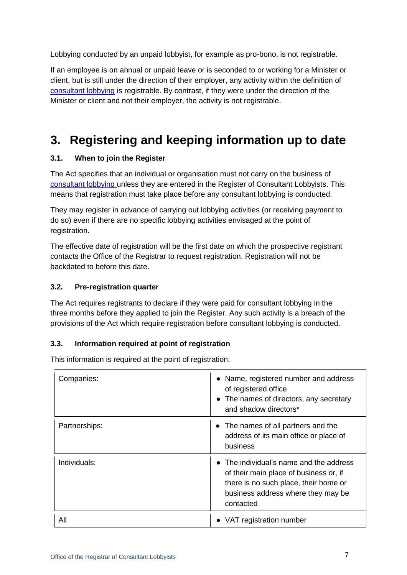Lobbying conducted by an unpaid lobbyist, for example as pro-bono, is not registrable.

If an employee is on annual or unpaid leave or is seconded to or working for a Minister or client, but is still under the direction of their employer, any activity within the definition of [consultant lobbying](#page-2-0) is registrable. By contrast, if they were under the direction of the Minister or client and not their employer, the activity is not registrable.

## **3. Registering and keeping information up to date**

#### **3.1. When to join the Register**

The Act specifies that an individual or organisation must not carry on the business of [consultant lobbying](#page-2-0) unless they are entered in the Register of Consultant Lobbyists. This means that registration must take place before any consultant lobbying is conducted.

They may register in advance of carrying out lobbying activities (or receiving payment to do so) even if there are no specific lobbying activities envisaged at the point of registration.

The effective date of registration will be the first date on which the prospective registrant contacts the Office of the Registrar to request registration. Registration will not be backdated to before this date.

#### **3.2. Pre-registration quarter**

The Act requires registrants to declare if they were paid for consultant lobbying in the three months before they applied to join the Register. Any such activity is a breach of the provisions of the Act which require registration before consultant lobbying is conducted.

#### **3.3. Information required at point of registration**

This information is required at the point of registration:

| Companies:    | • Name, registered number and address<br>of registered office<br>• The names of directors, any secretary<br>and shadow directors*                                             |
|---------------|-------------------------------------------------------------------------------------------------------------------------------------------------------------------------------|
| Partnerships: | • The names of all partners and the<br>address of its main office or place of<br>business                                                                                     |
| Individuals:  | • The individual's name and the address<br>of their main place of business or, if<br>there is no such place, their home or<br>business address where they may be<br>contacted |
| All           | VAT registration number                                                                                                                                                       |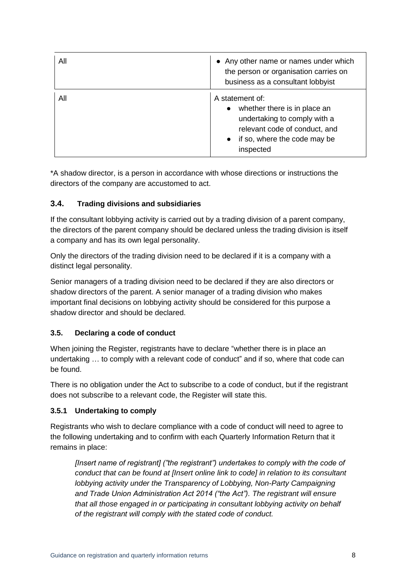| All | • Any other name or names under which<br>the person or organisation carries on<br>business as a consultant lobbyist                                                        |
|-----|----------------------------------------------------------------------------------------------------------------------------------------------------------------------------|
| All | A statement of:<br>whether there is in place an<br>$\bullet$<br>undertaking to comply with a<br>relevant code of conduct, and<br>if so, where the code may be<br>inspected |

\*A shadow director, is a person in accordance with whose directions or instructions the directors of the company are accustomed to act.

#### **3.4. Trading divisions and subsidiaries**

If the consultant lobbying activity is carried out by a trading division of a parent company, the directors of the parent company should be declared unless the trading division is itself a company and has its own legal personality.

Only the directors of the trading division need to be declared if it is a company with a distinct legal personality.

Senior managers of a trading division need to be declared if they are also directors or shadow directors of the parent. A senior manager of a trading division who makes important final decisions on lobbying activity should be considered for this purpose a shadow director and should be declared.

#### <span id="page-7-0"></span>**3.5. Declaring a code of conduct**

When joining the Register, registrants have to declare "whether there is in place an undertaking … to comply with a relevant code of conduct" and if so, where that code can be found.

There is no obligation under the Act to subscribe to a code of conduct, but if the registrant does not subscribe to a relevant code, the Register will state this.

#### **3.5.1 Undertaking to comply**

Registrants who wish to declare compliance with a code of conduct will need to agree to the following undertaking and to confirm with each Quarterly Information Return that it remains in place:

*[Insert name of registrant] ("the registrant") undertakes to comply with the code of conduct that can be found at [Insert online link to code] in relation to its consultant lobbying activity under the Transparency of Lobbying, Non-Party Campaigning and Trade Union Administration Act 2014 ("the Act"). The registrant will ensure that all those engaged in or participating in consultant lobbying activity on behalf of the registrant will comply with the stated code of conduct.*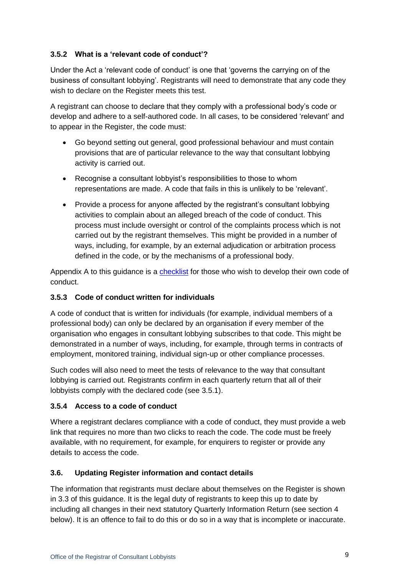#### **3.5.2 What is a 'relevant code of conduct'?**

Under the Act a 'relevant code of conduct' is one that 'governs the carrying on of the business of consultant lobbying'. Registrants will need to demonstrate that any code they wish to declare on the Register meets this test.

A registrant can choose to declare that they comply with a professional body's code or develop and adhere to a self-authored code. In all cases, to be considered 'relevant' and to appear in the Register, the code must:

- Go beyond setting out general, good professional behaviour and must contain provisions that are of particular relevance to the way that consultant lobbying activity is carried out.
- Recognise a consultant lobbyist's responsibilities to those to whom representations are made. A code that fails in this is unlikely to be 'relevant'.
- Provide a process for anyone affected by the registrant's consultant lobbying activities to complain about an alleged breach of the code of conduct. This process must include oversight or control of the complaints process which is not carried out by the registrant themselves. This might be provided in a number of ways, including, for example, by an external adjudication or arbitration process defined in the code, or by the mechanisms of a professional body.

Appendix A to this guidance is a [checklist](#page-15-0) for those who wish to develop their own code of conduct.

#### **3.5.3 Code of conduct written for individuals**

A code of conduct that is written for individuals (for example, individual members of a professional body) can only be declared by an organisation if every member of the organisation who engages in consultant lobbying subscribes to that code. This might be demonstrated in a number of ways, including, for example, through terms in contracts of employment, monitored training, individual sign-up or other compliance processes.

Such codes will also need to meet the tests of relevance to the way that consultant lobbying is carried out. Registrants confirm in each quarterly return that all of their lobbyists comply with the declared code (see 3.5.1).

#### **3.5.4 Access to a code of conduct**

Where a registrant declares compliance with a code of conduct, they must provide a web link that requires no more than two clicks to reach the code. The code must be freely available, with no requirement, for example, for enquirers to register or provide any details to access the code.

#### **3.6. Updating Register information and contact details**

The information that registrants must declare about themselves on the Register is shown in 3.3 of this guidance. It is the legal duty of registrants to keep this up to date by including all changes in their next statutory Quarterly Information Return (see section 4 below). It is an offence to fail to do this or do so in a way that is incomplete or inaccurate.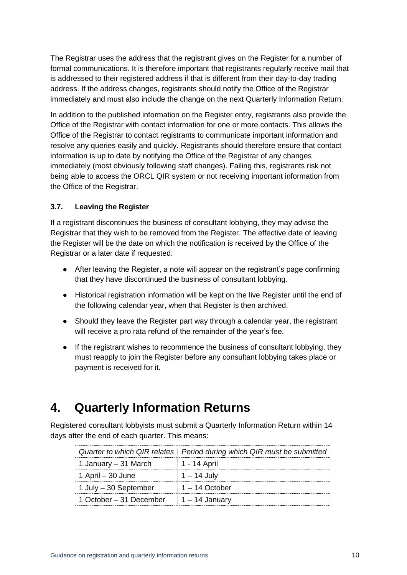The Registrar uses the address that the registrant gives on the Register for a number of formal communications. It is therefore important that registrants regularly receive mail that is addressed to their registered address if that is different from their day-to-day trading address. If the address changes, registrants should notify the Office of the Registrar immediately and must also include the change on the next Quarterly Information Return.

In addition to the published information on the Register entry, registrants also provide the Office of the Registrar with contact information for one or more contacts. This allows the Office of the Registrar to contact registrants to communicate important information and resolve any queries easily and quickly. Registrants should therefore ensure that contact information is up to date by notifying the Office of the Registrar of any changes immediately (most obviously following staff changes). Failing this, registrants risk not being able to access the ORCL QIR system or not receiving important information from the Office of the Registrar.

#### **3.7. Leaving the Register**

If a registrant discontinues the business of consultant lobbying, they may advise the Registrar that they wish to be removed from the Register. The effective date of leaving the Register will be the date on which the notification is received by the Office of the Registrar or a later date if requested.

- After leaving the Register, a note will appear on the registrant's page confirming that they have discontinued the business of consultant lobbying.
- Historical registration information will be kept on the live Register until the end of the following calendar year, when that Register is then archived.
- Should they leave the Register part way through a calendar year, the registrant will receive a pro rata refund of the remainder of the year's fee.
- If the registrant wishes to recommence the business of consultant lobbying, they must reapply to join the Register before any consultant lobbying takes place or payment is received for it.

### **4. Quarterly Information Returns**

Registered consultant lobbyists must submit a Quarterly Information Return within 14 days after the end of each quarter. This means:

|                                                | Quarter to which QIR relates   Period during which QIR must be submitted |
|------------------------------------------------|--------------------------------------------------------------------------|
| 1 January – 31 March                           | 1 - 14 April                                                             |
| $\vert$ 1 April – 30 June                      | 1 – 14 July                                                              |
| $\vert$ 1 July – 30 September                  | $1 - 14$ October                                                         |
| 1 October – 31 December $\vert$ 1 – 14 January |                                                                          |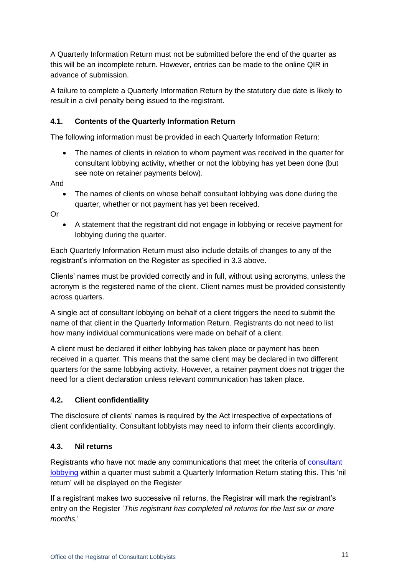A Quarterly Information Return must not be submitted before the end of the quarter as this will be an incomplete return. However, entries can be made to the online QIR in advance of submission.

A failure to complete a Quarterly Information Return by the statutory due date is likely to result in a civil penalty being issued to the registrant.

#### **4.1. Contents of the Quarterly Information Return**

The following information must be provided in each Quarterly Information Return:

 The names of clients in relation to whom payment was received in the quarter for consultant lobbying activity, whether or not the lobbying has yet been done (but see note on retainer payments below).

And

 The names of clients on whose behalf consultant lobbying was done during the quarter, whether or not payment has yet been received.

Or

 A statement that the registrant did not engage in lobbying or receive payment for lobbying during the quarter.

Each Quarterly Information Return must also include details of changes to any of the registrant's information on the Register as specified in 3.3 above.

Clients' names must be provided correctly and in full, without using acronyms, unless the acronym is the registered name of the client. Client names must be provided consistently across quarters.

A single act of consultant lobbying on behalf of a client triggers the need to submit the name of that client in the Quarterly Information Return. Registrants do not need to list how many individual communications were made on behalf of a client.

A client must be declared if either lobbying has taken place or payment has been received in a quarter. This means that the same client may be declared in two different quarters for the same lobbying activity. However, a retainer payment does not trigger the need for a client declaration unless relevant communication has taken place.

#### **4.2. Client confidentiality**

The disclosure of clients' names is required by the Act irrespective of expectations of client confidentiality. Consultant lobbyists may need to inform their clients accordingly.

#### **4.3. Nil returns**

Registrants who have not made any communications that meet the criteria of [consultant](#page-2-0)  [lobbying](#page-2-0) within a quarter must submit a Quarterly Information Return stating this. This 'nil return' will be displayed on the Register

If a registrant makes two successive nil returns, the Registrar will mark the registrant's entry on the Register '*This registrant has completed nil returns for the last six or more months.*'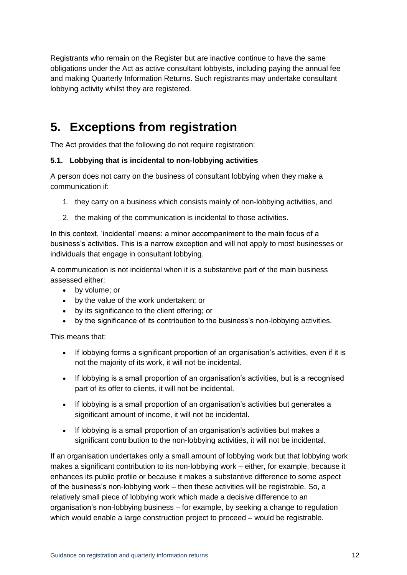Registrants who remain on the Register but are inactive continue to have the same obligations under the Act as active consultant lobbyists, including paying the annual fee and making Quarterly Information Returns. Such registrants may undertake consultant lobbying activity whilst they are registered.

## **5. Exceptions from registration**

The Act provides that the following do not require registration:

#### **5.1. Lobbying that is incidental to non-lobbying activities**

A person does not carry on the business of consultant lobbying when they make a communication if:

- 1. they carry on a business which consists mainly of non-lobbying activities, and
- 2. the making of the communication is incidental to those activities.

In this context, 'incidental' means: a minor accompaniment to the main focus of a business's activities. This is a narrow exception and will not apply to most businesses or individuals that engage in consultant lobbying.

A communication is not incidental when it is a substantive part of the main business assessed either:

- by volume; or
- by the value of the work undertaken; or
- by its significance to the client offering; or
- by the significance of its contribution to the business's non-lobbying activities.

This means that:

- If lobbying forms a significant proportion of an organisation's activities, even if it is not the majority of its work, it will not be incidental.
- If lobbying is a small proportion of an organisation's activities, but is a recognised part of its offer to clients, it will not be incidental.
- If lobbying is a small proportion of an organisation's activities but generates a significant amount of income, it will not be incidental.
- If lobbying is a small proportion of an organisation's activities but makes a significant contribution to the non-lobbying activities, it will not be incidental.

If an organisation undertakes only a small amount of lobbying work but that lobbying work makes a significant contribution to its non-lobbying work – either, for example, because it enhances its public profile or because it makes a substantive difference to some aspect of the business's non-lobbying work – then these activities will be registrable. So, a relatively small piece of lobbying work which made a decisive difference to an organisation's non-lobbying business – for example, by seeking a change to regulation which would enable a large construction project to proceed – would be registrable.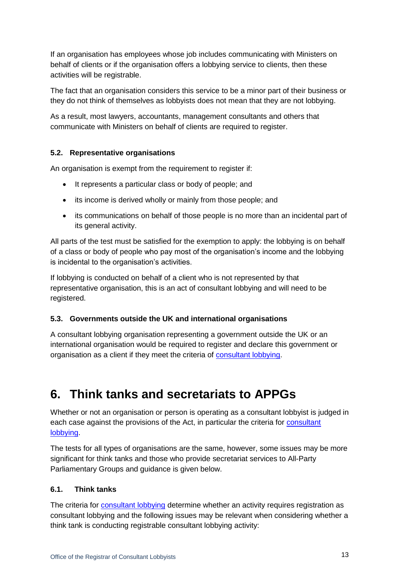If an organisation has employees whose job includes communicating with Ministers on behalf of clients or if the organisation offers a lobbying service to clients, then these activities will be registrable.

The fact that an organisation considers this service to be a minor part of their business or they do not think of themselves as lobbyists does not mean that they are not lobbying.

As a result, most lawyers, accountants, management consultants and others that communicate with Ministers on behalf of clients are required to register.

#### **5.2. Representative organisations**

An organisation is exempt from the requirement to register if:

- It represents a particular class or body of people; and
- its income is derived wholly or mainly from those people; and
- its communications on behalf of those people is no more than an incidental part of its general activity.

All parts of the test must be satisfied for the exemption to apply: the lobbying is on behalf of a class or body of people who pay most of the organisation's income and the lobbying is incidental to the organisation's activities.

If lobbying is conducted on behalf of a client who is not represented by that representative organisation, this is an act of consultant lobbying and will need to be registered.

#### **5.3. Governments outside the UK and international organisations**

A consultant lobbying organisation representing a government outside the UK or an international organisation would be required to register and declare this government or organisation as a client if they meet the criteria of [consultant lobbying.](#page-2-0)

## **6. Think tanks and secretariats to APPGs**

Whether or not an organisation or person is operating as a consultant lobbyist is judged in each case against the provisions of the Act, in particular the criteria for [consultant](#page-2-0)  [lobbying.](#page-2-0)

The tests for all types of organisations are the same, however, some issues may be more significant for think tanks and those who provide secretariat services to All-Party Parliamentary Groups and guidance is given below.

#### **6.1. Think tanks**

The criteria for [consultant lobbying](#page-2-0) determine whether an activity requires registration as consultant lobbying and the following issues may be relevant when considering whether a think tank is conducting registrable consultant lobbying activity: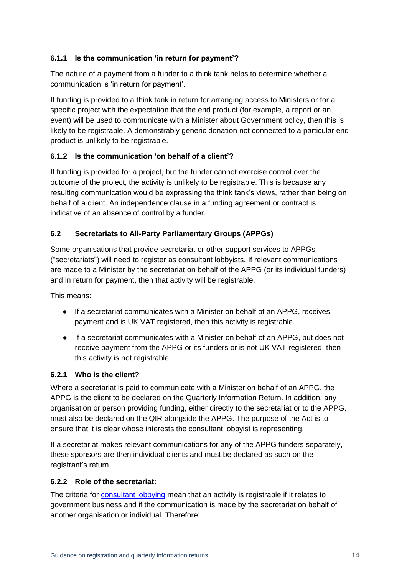#### **6.1.1 Is the communication 'in return for payment'?**

The nature of a payment from a funder to a think tank helps to determine whether a communication is 'in return for payment'.

If funding is provided to a think tank in return for arranging access to Ministers or for a specific project with the expectation that the end product (for example, a report or an event) will be used to communicate with a Minister about Government policy, then this is likely to be registrable. A demonstrably generic donation not connected to a particular end product is unlikely to be registrable.

#### **6.1.2 Is the communication 'on behalf of a client'?**

If funding is provided for a project, but the funder cannot exercise control over the outcome of the project, the activity is unlikely to be registrable. This is because any resulting communication would be expressing the think tank's views, rather than being on behalf of a client. An independence clause in a funding agreement or contract is indicative of an absence of control by a funder.

#### **6.2 Secretariats to All-Party Parliamentary Groups (APPGs)**

Some organisations that provide secretariat or other support services to APPGs ("secretariats") will need to register as consultant lobbyists. If relevant communications are made to a Minister by the secretariat on behalf of the APPG (or its individual funders) and in return for payment, then that activity will be registrable.

This means:

- If a secretariat communicates with a Minister on behalf of an APPG, receives payment and is UK VAT registered, then this activity is registrable.
- If a secretariat communicates with a Minister on behalf of an APPG, but does not receive payment from the APPG or its funders or is not UK VAT registered, then this activity is not registrable.

#### **6.2.1 Who is the client?**

Where a secretariat is paid to communicate with a Minister on behalf of an APPG, the APPG is the client to be declared on the Quarterly Information Return. In addition, any organisation or person providing funding, either directly to the secretariat or to the APPG, must also be declared on the QIR alongside the APPG. The purpose of the Act is to ensure that it is clear whose interests the consultant lobbyist is representing.

If a secretariat makes relevant communications for any of the APPG funders separately, these sponsors are then individual clients and must be declared as such on the registrant's return.

#### **6.2.2 Role of the secretariat:**

The criteria for [consultant lobbying](#page-2-0) mean that an activity is registrable if it relates to government business and if the communication is made by the secretariat on behalf of another organisation or individual. Therefore: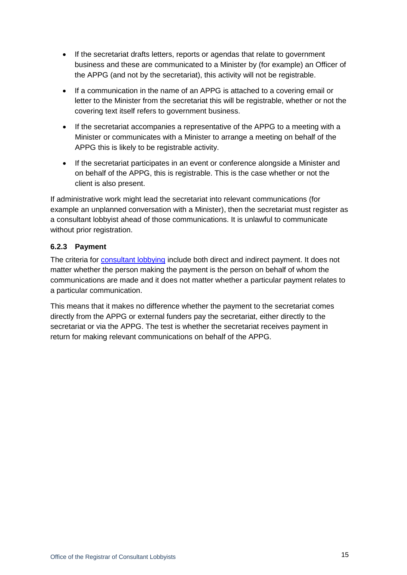- If the secretariat drafts letters, reports or agendas that relate to government business and these are communicated to a Minister by (for example) an Officer of the APPG (and not by the secretariat), this activity will not be registrable.
- If a communication in the name of an APPG is attached to a covering email or letter to the Minister from the secretariat this will be registrable, whether or not the covering text itself refers to government business.
- If the secretariat accompanies a representative of the APPG to a meeting with a Minister or communicates with a Minister to arrange a meeting on behalf of the APPG this is likely to be registrable activity.
- If the secretariat participates in an event or conference alongside a Minister and on behalf of the APPG, this is registrable. This is the case whether or not the client is also present.

If administrative work might lead the secretariat into relevant communications (for example an unplanned conversation with a Minister), then the secretariat must register as a consultant lobbyist ahead of those communications. It is unlawful to communicate without prior registration.

#### **6.2.3 Payment**

The criteria for [consultant lobbying](#page-2-0) include both direct and indirect payment. It does not matter whether the person making the payment is the person on behalf of whom the communications are made and it does not matter whether a particular payment relates to a particular communication.

This means that it makes no difference whether the payment to the secretariat comes directly from the APPG or external funders pay the secretariat, either directly to the secretariat or via the APPG. The test is whether the secretariat receives payment in return for making relevant communications on behalf of the APPG.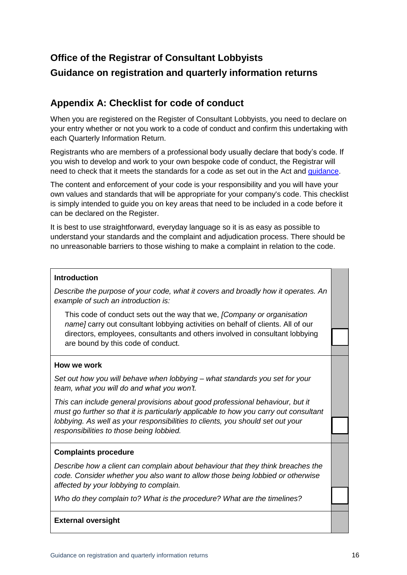### **Office of the Registrar of Consultant Lobbyists Guidance on registration and quarterly information returns**

### <span id="page-15-0"></span>**Appendix A: Checklist for code of conduct**

When you are registered on the Register of Consultant Lobbyists, you need to declare on your entry whether or not you work to a code of conduct and confirm this undertaking with each Quarterly Information Return.

Registrants who are members of a professional body usually declare that body's code. If you wish to develop and work to your own bespoke code of conduct, the Registrar will need to check that it meets the standards for a code as set out in the Act and [guidance.](#page-7-0)

The content and enforcement of your code is your responsibility and you will have your own values and standards that will be appropriate for your company's code. This checklist is simply intended to guide you on key areas that need to be included in a code before it can be declared on the Register.

It is best to use straightforward, everyday language so it is as easy as possible to understand your standards and the complaint and adjudication process. There should be no unreasonable barriers to those wishing to make a complaint in relation to the code.

#### **Introduction**

*Describe the purpose of your code, what it covers and broadly how it operates. An example of such an introduction is:*

This code of conduct sets out the way that we, *[Company or organisation name]* carry out consultant lobbying activities on behalf of clients. All of our directors, employees, consultants and others involved in consultant lobbying are bound by this code of conduct.

#### **How we work**

*Set out how you will behave when lobbying – what standards you set for your team, what you will do and what you won't.* 

*This can include general provisions about good professional behaviour, but it must go further so that it is particularly applicable to how you carry out consultant lobbying. As well as your responsibilities to clients, you should set out your responsibilities to those being lobbied.* 

#### **Complaints procedure**

*Describe how a client can complain about behaviour that they think breaches the code. Consider whether you also want to allow those being lobbied or otherwise affected by your lobbying to complain.* 

*Who do they complain to? What is the procedure? What are the timelines?*

#### **External oversight**